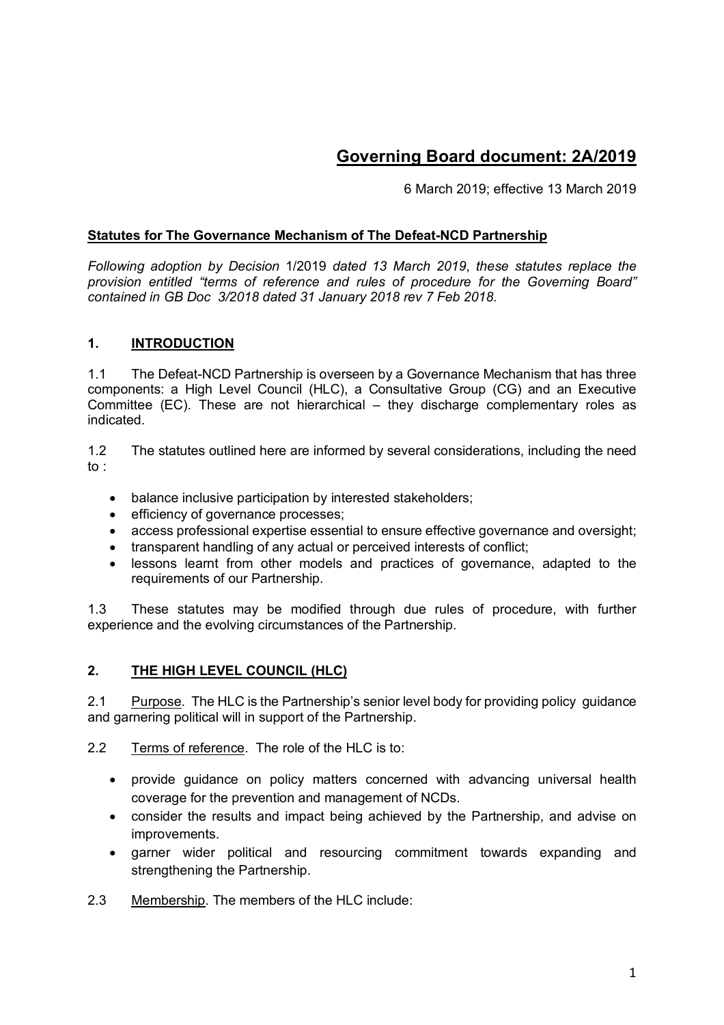# **Governing Board document: 2A/2019**

6 March 2019; effective 13 March 2019

### **Statutes for The Governance Mechanism of The Defeat-NCD Partnership**

*Following adoption by Decision* 1/2019 *dated 13 March 2019*, *these statutes replace the provision entitled "terms of reference and rules of procedure for the Governing Board" contained in GB Doc 3/2018 dated 31 January 2018 rev 7 Feb 2018.*

#### **1. INTRODUCTION**

1.1 The Defeat-NCD Partnership is overseen by a Governance Mechanism that has three components: a High Level Council (HLC), a Consultative Group (CG) and an Executive Committee (EC). These are not hierarchical – they discharge complementary roles as indicated.

1.2 The statutes outlined here are informed by several considerations, including the need to :

- balance inclusive participation by interested stakeholders;
- efficiency of governance processes:
- access professional expertise essential to ensure effective governance and oversight:
- transparent handling of any actual or perceived interests of conflict;
- lessons learnt from other models and practices of governance, adapted to the requirements of our Partnership.

1.3 These statutes may be modified through due rules of procedure, with further experience and the evolving circumstances of the Partnership.

### **2. THE HIGH LEVEL COUNCIL (HLC)**

2.1 Purpose. The HLC is the Partnership's senior level body for providing policy guidance and garnering political will in support of the Partnership.

2.2 Terms of reference. The role of the HLC is to:

- provide guidance on policy matters concerned with advancing universal health coverage for the prevention and management of NCDs.
- consider the results and impact being achieved by the Partnership, and advise on improvements.
- garner wider political and resourcing commitment towards expanding and strengthening the Partnership.
- 2.3 Membership. The members of the HLC include: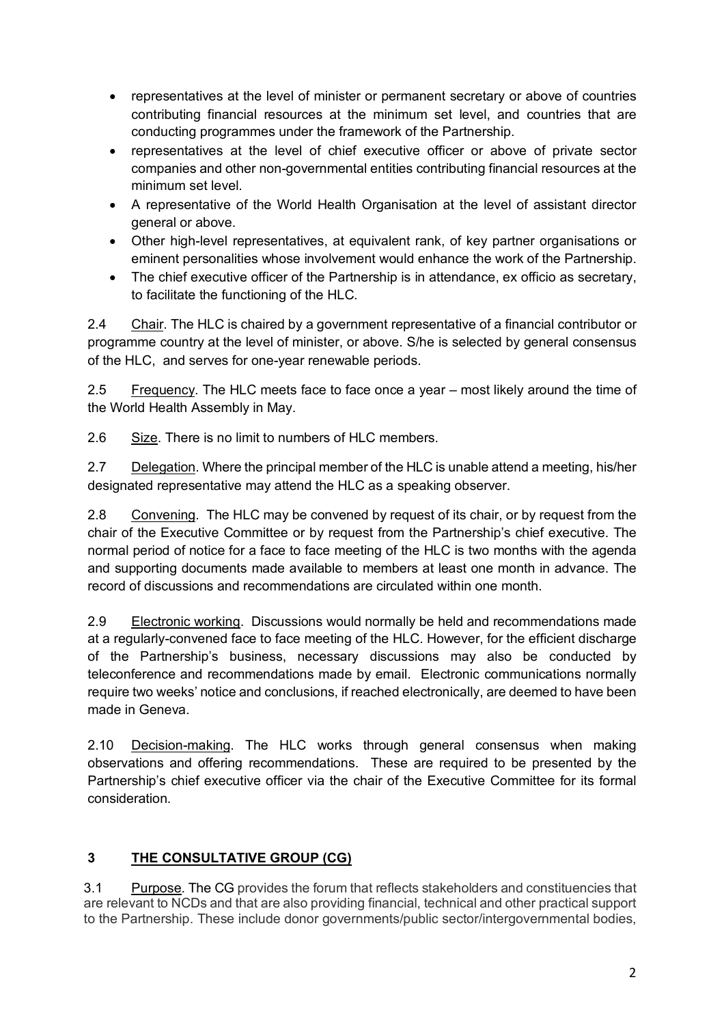- representatives at the level of minister or permanent secretary or above of countries contributing financial resources at the minimum set level, and countries that are conducting programmes under the framework of the Partnership.
- representatives at the level of chief executive officer or above of private sector companies and other non-governmental entities contributing financial resources at the minimum set level.
- A representative of the World Health Organisation at the level of assistant director general or above.
- Other high-level representatives, at equivalent rank, of key partner organisations or eminent personalities whose involvement would enhance the work of the Partnership.
- The chief executive officer of the Partnership is in attendance, ex officio as secretary, to facilitate the functioning of the HLC.

2.4 Chair. The HLC is chaired by a government representative of a financial contributor or programme country at the level of minister, or above. S/he is selected by general consensus of the HLC, and serves for one-year renewable periods.

2.5 Frequency. The HLC meets face to face once a year – most likely around the time of the World Health Assembly in May.

2.6 Size. There is no limit to numbers of HLC members.

2.7 Delegation. Where the principal member of the HLC is unable attend a meeting, his/her designated representative may attend the HLC as a speaking observer.

2.8 Convening. The HLC may be convened by request of its chair, or by request from the chair of the Executive Committee or by request from the Partnership's chief executive. The normal period of notice for a face to face meeting of the HLC is two months with the agenda and supporting documents made available to members at least one month in advance. The record of discussions and recommendations are circulated within one month.

2.9 Electronic working. Discussions would normally be held and recommendations made at a regularly-convened face to face meeting of the HLC. However, for the efficient discharge of the Partnership's business, necessary discussions may also be conducted by teleconference and recommendations made by email. Electronic communications normally require two weeks' notice and conclusions, if reached electronically, are deemed to have been made in Geneva.

2.10 Decision-making. The HLC works through general consensus when making observations and offering recommendations. These are required to be presented by the Partnership's chief executive officer via the chair of the Executive Committee for its formal consideration.

# **3 THE CONSULTATIVE GROUP (CG)**

3.1 Purpose. The CG provides the forum that reflects stakeholders and constituencies that are relevant to NCDs and that are also providing financial, technical and other practical support to the Partnership. These include donor governments/public sector/intergovernmental bodies,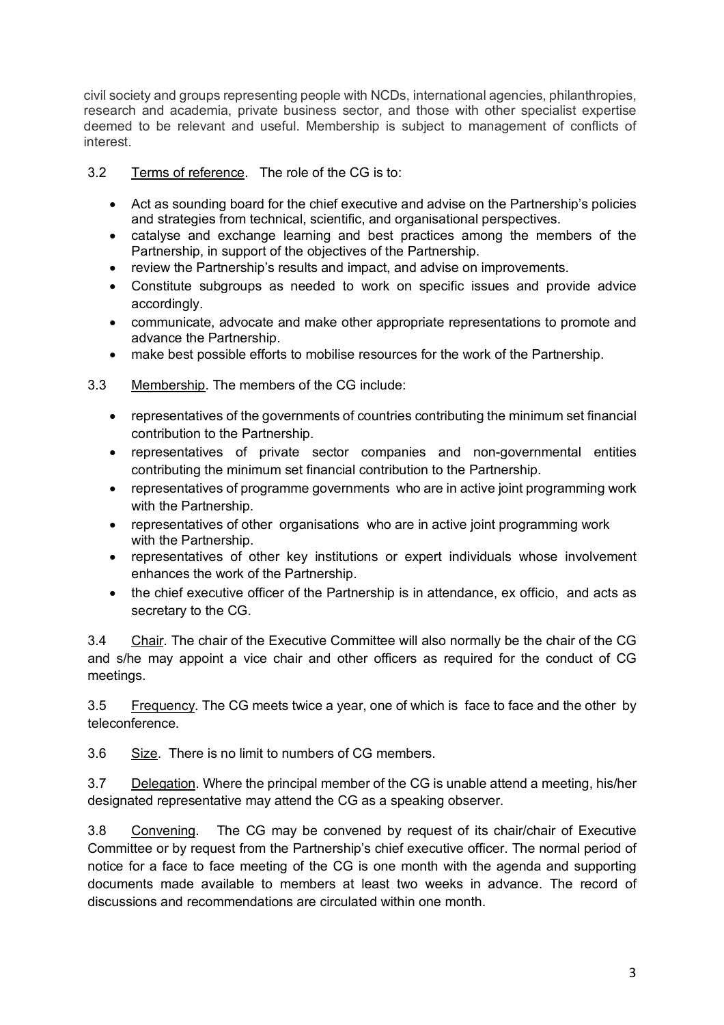civil society and groups representing people with NCDs, international agencies, philanthropies, research and academia, private business sector, and those with other specialist expertise deemed to be relevant and useful. Membership is subject to management of conflicts of interest.

3.2 Terms of reference. The role of the CG is to:

- Act as sounding board for the chief executive and advise on the Partnership's policies and strategies from technical, scientific, and organisational perspectives.
- catalyse and exchange learning and best practices among the members of the Partnership, in support of the objectives of the Partnership.
- review the Partnership's results and impact, and advise on improvements.
- Constitute subgroups as needed to work on specific issues and provide advice accordingly.
- communicate, advocate and make other appropriate representations to promote and advance the Partnership.
- make best possible efforts to mobilise resources for the work of the Partnership.

3.3 Membership. The members of the CG include:

- representatives of the governments of countries contributing the minimum set financial contribution to the Partnership.
- representatives of private sector companies and non-governmental entities contributing the minimum set financial contribution to the Partnership.
- representatives of programme governments who are in active joint programming work with the Partnership.
- representatives of other organisations who are in active joint programming work with the Partnership.
- representatives of other key institutions or expert individuals whose involvement enhances the work of the Partnership.
- the chief executive officer of the Partnership is in attendance, ex officio, and acts as secretary to the CG.

3.4 Chair. The chair of the Executive Committee will also normally be the chair of the CG and s/he may appoint a vice chair and other officers as required for the conduct of CG meetings.

3.5 Frequency. The CG meets twice a year, one of which is face to face and the other by teleconference.

3.6 Size. There is no limit to numbers of CG members.

3.7 Delegation. Where the principal member of the CG is unable attend a meeting, his/her designated representative may attend the CG as a speaking observer.

3.8 Convening. The CG may be convened by request of its chair/chair of Executive Committee or by request from the Partnership's chief executive officer. The normal period of notice for a face to face meeting of the CG is one month with the agenda and supporting documents made available to members at least two weeks in advance. The record of discussions and recommendations are circulated within one month.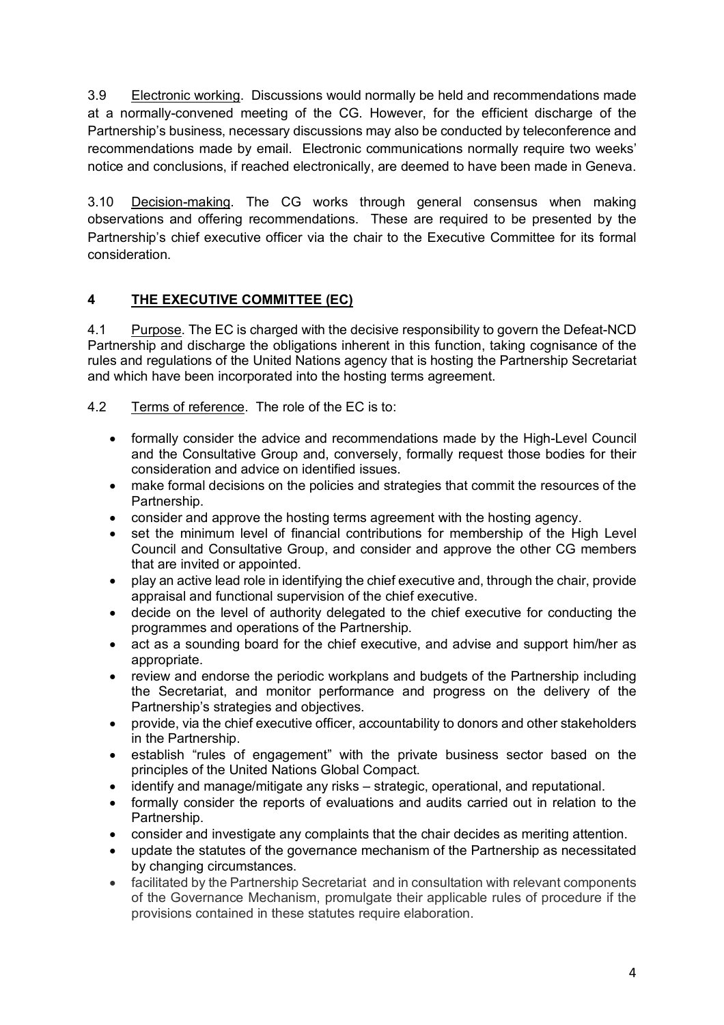3.9 Electronic working. Discussions would normally be held and recommendations made at a normally-convened meeting of the CG. However, for the efficient discharge of the Partnership's business, necessary discussions may also be conducted by teleconference and recommendations made by email. Electronic communications normally require two weeks' notice and conclusions, if reached electronically, are deemed to have been made in Geneva.

3.10 Decision-making. The CG works through general consensus when making observations and offering recommendations. These are required to be presented by the Partnership's chief executive officer via the chair to the Executive Committee for its formal consideration.

# **4 THE EXECUTIVE COMMITTEE (EC)**

4.1 Purpose. The EC is charged with the decisive responsibility to govern the Defeat-NCD Partnership and discharge the obligations inherent in this function, taking cognisance of the rules and regulations of the United Nations agency that is hosting the Partnership Secretariat and which have been incorporated into the hosting terms agreement.

4.2 Terms of reference. The role of the EC is to:

- formally consider the advice and recommendations made by the High-Level Council and the Consultative Group and, conversely, formally request those bodies for their consideration and advice on identified issues.
- make formal decisions on the policies and strategies that commit the resources of the Partnership.
- consider and approve the hosting terms agreement with the hosting agency.
- set the minimum level of financial contributions for membership of the High Level Council and Consultative Group, and consider and approve the other CG members that are invited or appointed.
- play an active lead role in identifying the chief executive and, through the chair, provide appraisal and functional supervision of the chief executive.
- decide on the level of authority delegated to the chief executive for conducting the programmes and operations of the Partnership.
- act as a sounding board for the chief executive, and advise and support him/her as appropriate.
- review and endorse the periodic workplans and budgets of the Partnership including the Secretariat, and monitor performance and progress on the delivery of the Partnership's strategies and objectives.
- provide, via the chief executive officer, accountability to donors and other stakeholders in the Partnership.
- establish "rules of engagement" with the private business sector based on the principles of the United Nations Global Compact.
- identify and manage/mitigate any risks strategic, operational, and reputational.
- formally consider the reports of evaluations and audits carried out in relation to the Partnership.
- consider and investigate any complaints that the chair decides as meriting attention.
- update the statutes of the governance mechanism of the Partnership as necessitated by changing circumstances.
- facilitated by the Partnership Secretariat and in consultation with relevant components of the Governance Mechanism, promulgate their applicable rules of procedure if the provisions contained in these statutes require elaboration.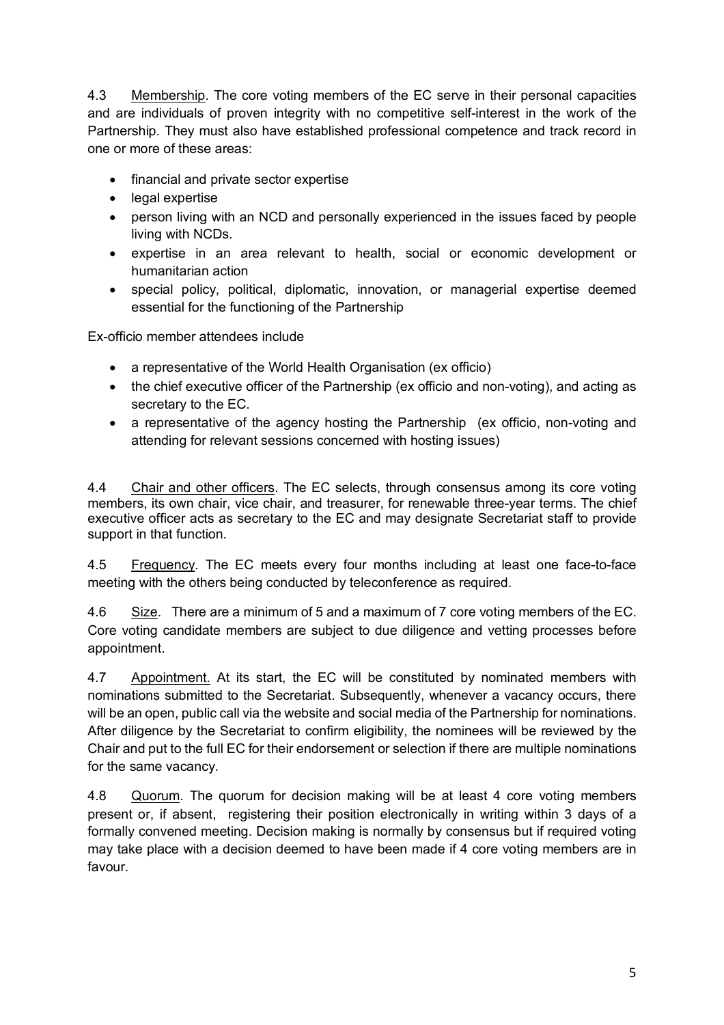4.3 Membership. The core voting members of the EC serve in their personal capacities and are individuals of proven integrity with no competitive self-interest in the work of the Partnership. They must also have established professional competence and track record in one or more of these areas:

- financial and private sector expertise
- legal expertise
- person living with an NCD and personally experienced in the issues faced by people living with NCDs.
- expertise in an area relevant to health, social or economic development or humanitarian action
- special policy, political, diplomatic, innovation, or managerial expertise deemed essential for the functioning of the Partnership

Ex-officio member attendees include

- a representative of the World Health Organisation (ex officio)
- the chief executive officer of the Partnership (ex officio and non-voting), and acting as secretary to the EC.
- a representative of the agency hosting the Partnership (ex officio, non-voting and attending for relevant sessions concerned with hosting issues)

4.4 Chair and other officers. The EC selects, through consensus among its core voting members, its own chair, vice chair, and treasurer, for renewable three-year terms. The chief executive officer acts as secretary to the EC and may designate Secretariat staff to provide support in that function.

4.5 Frequency. The EC meets every four months including at least one face-to-face meeting with the others being conducted by teleconference as required.

4.6 Size. There are a minimum of 5 and a maximum of 7 core voting members of the EC. Core voting candidate members are subject to due diligence and vetting processes before appointment.

4.7 Appointment. At its start, the EC will be constituted by nominated members with nominations submitted to the Secretariat. Subsequently, whenever a vacancy occurs, there will be an open, public call via the website and social media of the Partnership for nominations. After diligence by the Secretariat to confirm eligibility, the nominees will be reviewed by the Chair and put to the full EC for their endorsement or selection if there are multiple nominations for the same vacancy.

4.8 Quorum. The quorum for decision making will be at least 4 core voting members present or, if absent, registering their position electronically in writing within 3 days of a formally convened meeting. Decision making is normally by consensus but if required voting may take place with a decision deemed to have been made if 4 core voting members are in favour.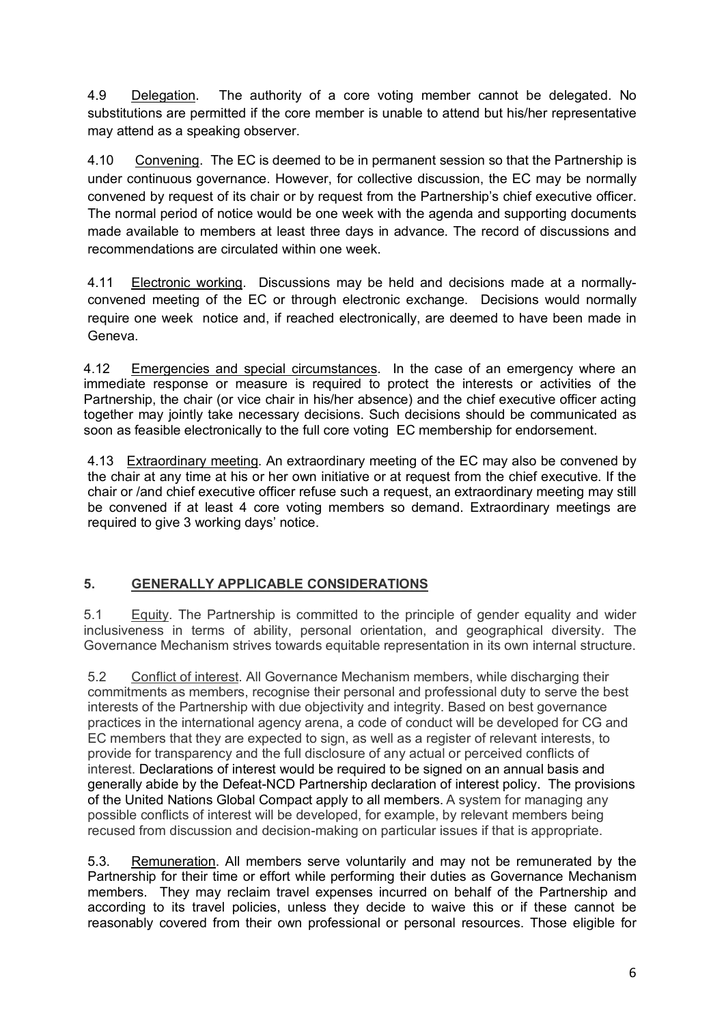4.9 Delegation. The authority of a core voting member cannot be delegated. No substitutions are permitted if the core member is unable to attend but his/her representative may attend as a speaking observer.

4.10 Convening. The EC is deemed to be in permanent session so that the Partnership is under continuous governance. However, for collective discussion, the EC may be normally convened by request of its chair or by request from the Partnership's chief executive officer. The normal period of notice would be one week with the agenda and supporting documents made available to members at least three days in advance. The record of discussions and recommendations are circulated within one week.

4.11 Electronic working. Discussions may be held and decisions made at a normallyconvened meeting of the EC or through electronic exchange. Decisions would normally require one week notice and, if reached electronically, are deemed to have been made in Geneva.

4.12 Emergencies and special circumstances. In the case of an emergency where an immediate response or measure is required to protect the interests or activities of the Partnership, the chair (or vice chair in his/her absence) and the chief executive officer acting together may jointly take necessary decisions. Such decisions should be communicated as soon as feasible electronically to the full core voting EC membership for endorsement.

4.13 Extraordinary meeting. An extraordinary meeting of the EC may also be convened by the chair at any time at his or her own initiative or at request from the chief executive. If the chair or /and chief executive officer refuse such a request, an extraordinary meeting may still be convened if at least 4 core voting members so demand. Extraordinary meetings are required to give 3 working days' notice.

# **5. GENERALLY APPLICABLE CONSIDERATIONS**

5.1 Equity. The Partnership is committed to the principle of gender equality and wider inclusiveness in terms of ability, personal orientation, and geographical diversity. The Governance Mechanism strives towards equitable representation in its own internal structure.

5.2 Conflict of interest. All Governance Mechanism members, while discharging their commitments as members, recognise their personal and professional duty to serve the best interests of the Partnership with due objectivity and integrity. Based on best governance practices in the international agency arena, a code of conduct will be developed for CG and EC members that they are expected to sign, as well as a register of relevant interests, to provide for transparency and the full disclosure of any actual or perceived conflicts of interest. Declarations of interest would be required to be signed on an annual basis and generally abide by the Defeat-NCD Partnership declaration of interest policy. The provisions of the United Nations Global Compact apply to all members. A system for managing any possible conflicts of interest will be developed, for example, by relevant members being recused from discussion and decision-making on particular issues if that is appropriate.

5.3. Remuneration. All members serve voluntarily and may not be remunerated by the Partnership for their time or effort while performing their duties as Governance Mechanism members. They may reclaim travel expenses incurred on behalf of the Partnership and according to its travel policies, unless they decide to waive this or if these cannot be reasonably covered from their own professional or personal resources. Those eligible for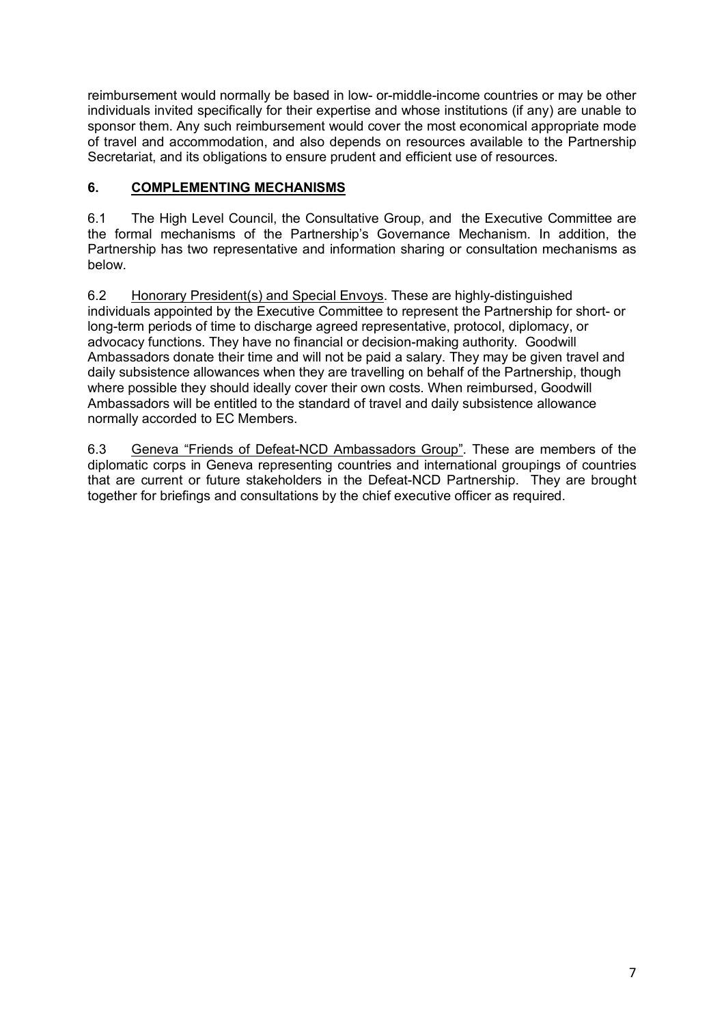reimbursement would normally be based in low- or-middle-income countries or may be other individuals invited specifically for their expertise and whose institutions (if any) are unable to sponsor them. Any such reimbursement would cover the most economical appropriate mode of travel and accommodation, and also depends on resources available to the Partnership Secretariat, and its obligations to ensure prudent and efficient use of resources.

## **6. COMPLEMENTING MECHANISMS**

6.1 The High Level Council, the Consultative Group, and the Executive Committee are the formal mechanisms of the Partnership's Governance Mechanism. In addition, the Partnership has two representative and information sharing or consultation mechanisms as below.

6.2 Honorary President(s) and Special Envoys. These are highly-distinguished individuals appointed by the Executive Committee to represent the Partnership for short- or long-term periods of time to discharge agreed representative, protocol, diplomacy, or advocacy functions. They have no financial or decision-making authority. Goodwill Ambassadors donate their time and will not be paid a salary. They may be given travel and daily subsistence allowances when they are travelling on behalf of the Partnership, though where possible they should ideally cover their own costs. When reimbursed, Goodwill Ambassadors will be entitled to the standard of travel and daily subsistence allowance normally accorded to EC Members.

6.3 Geneva "Friends of Defeat-NCD Ambassadors Group". These are members of the diplomatic corps in Geneva representing countries and international groupings of countries that are current or future stakeholders in the Defeat-NCD Partnership. They are brought together for briefings and consultations by the chief executive officer as required.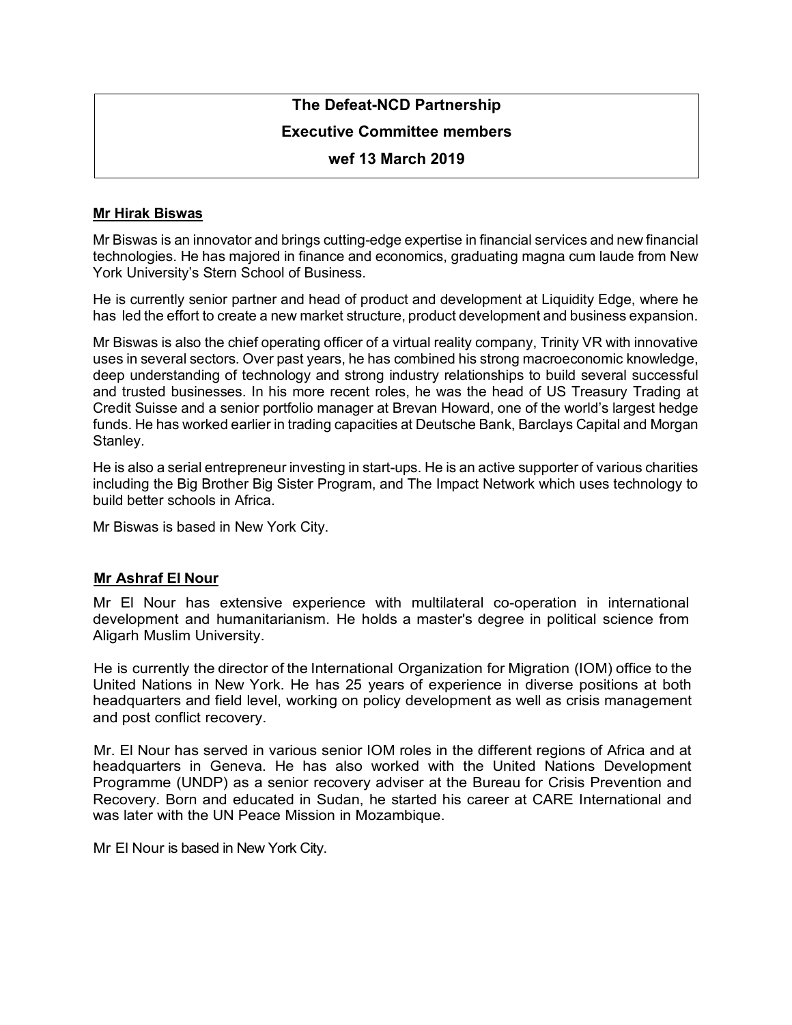# **The Defeat-NCD Partnership**

#### **Executive Committee members**

#### **wef 13 March 2019**

#### **Mr Hirak Biswas**

Mr Biswas is an innovator and brings cutting-edge expertise in financial services and new financial technologies. He has majored in finance and economics, graduating magna cum laude from New York University's Stern School of Business.

He is currently senior partner and head of product and development at Liquidity Edge, where he has led the effort to create a new market structure, product development and business expansion.

Mr Biswas is also the chief operating officer of a virtual reality company, Trinity VR with innovative uses in several sectors. Over past years, he has combined his strong macroeconomic knowledge, deep understanding of technology and strong industry relationships to build several successful and trusted businesses. In his more recent roles, he was the head of US Treasury Trading at Credit Suisse and a senior portfolio manager at Brevan Howard, one of the world's largest hedge funds. He has worked earlier in trading capacities at Deutsche Bank, Barclays Capital and Morgan Stanley.

He is also a serial entrepreneur investing in start-ups. He is an active supporter of various charities including the Big Brother Big Sister Program, and The Impact Network which uses technology to build better schools in Africa.

Mr Biswas is based in New York City.

#### **Mr Ashraf El Nour**

Mr El Nour has extensive experience with multilateral co-operation in international development and humanitarianism. He holds a master's degree in political science from Aligarh Muslim University.

He is currently the director of the International Organization for Migration (IOM) office to the United Nations in New York. He has 25 years of experience in diverse positions at both headquarters and field level, working on policy development as well as crisis management and post conflict recovery.

Mr. El Nour has served in various senior IOM roles in the different regions of Africa and at headquarters in Geneva. He has also worked with the United Nations Development Programme (UNDP) as a senior recovery adviser at the Bureau for Crisis Prevention and Recovery. Born and educated in Sudan, he started his career at CARE International and was later with the UN Peace Mission in Mozambique.

Mr El Nour is based in New York City.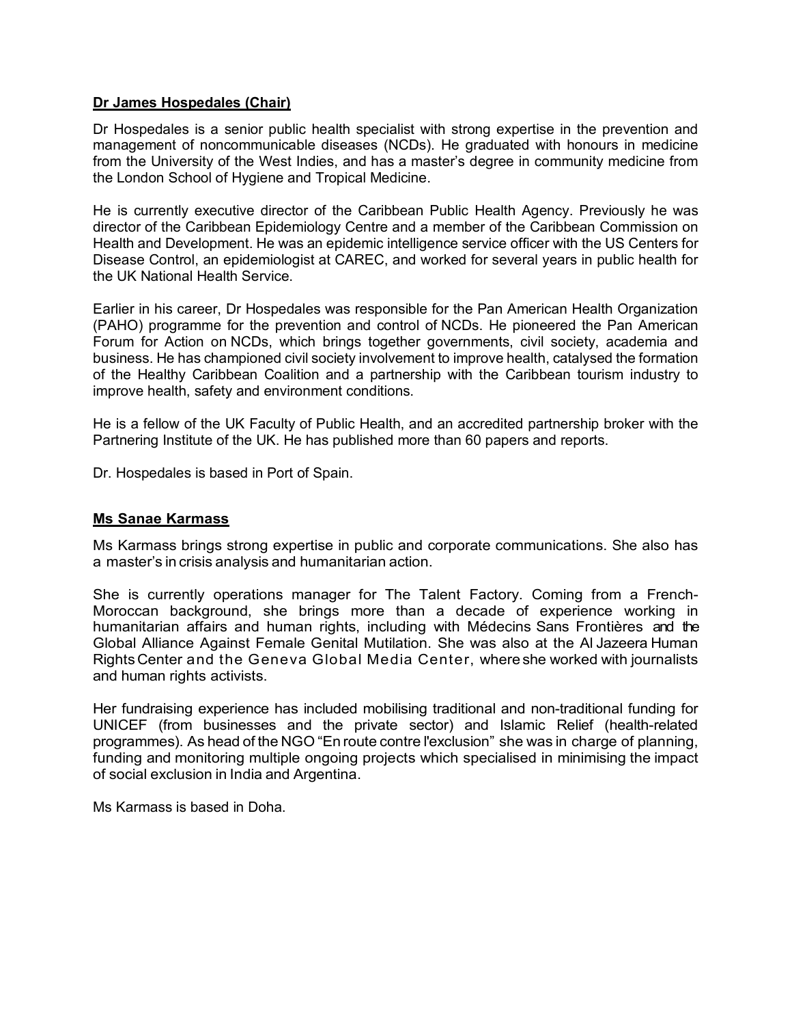#### **Dr James Hospedales (Chair)**

Dr Hospedales is a senior public health specialist with strong expertise in the prevention and management of noncommunicable diseases (NCDs). He graduated with honours in medicine from the University of the West Indies, and has a master's degree in community medicine from the London School of Hygiene and Tropical Medicine.

He is currently executive director of the Caribbean Public Health Agency. Previously he was director of the Caribbean Epidemiology Centre and a member of the Caribbean Commission on Health and Development. He was an epidemic intelligence service officer with the US Centers for Disease Control, an epidemiologist at CAREC, and worked for several years in public health for the UK National Health Service.

Earlier in his career, Dr Hospedales was responsible for the Pan American Health Organization (PAHO) programme for the prevention and control of NCDs. He pioneered the Pan American Forum for Action on NCDs, which brings together governments, civil society, academia and business. He has championed civil society involvement to improve health, catalysed the formation of the Healthy Caribbean Coalition and a partnership with the Caribbean tourism industry to improve health, safety and environment conditions.

He is a fellow of the UK Faculty of Public Health, and an accredited partnership broker with the Partnering Institute of the UK. He has published more than 60 papers and reports.

Dr. Hospedales is based in Port of Spain.

#### **Ms Sanae Karmass**

Ms Karmass brings strong expertise in public and corporate communications. She also has a master's in crisis analysis and humanitarian action.

She is currently operations manager for The Talent Factory. Coming from a French-Moroccan background, she brings more than a decade of experience working in humanitarian affairs and human rights, including with Médecins Sans Frontières and the Global Alliance Against Female Genital Mutilation. She was also at the Al Jazeera Human Rights Center and the Geneva Global Media Center, whereshe worked with journalists and human rights activists.

Her fundraising experience has included mobilising traditional and non-traditional funding for UNICEF (from businesses and the private sector) and Islamic Relief (health-related programmes). As head of the NGO "En route contre l'exclusion" she was in charge of planning, funding and monitoring multiple ongoing projects which specialised in minimising the impact of social exclusion in India and Argentina.

Ms Karmass is based in Doha.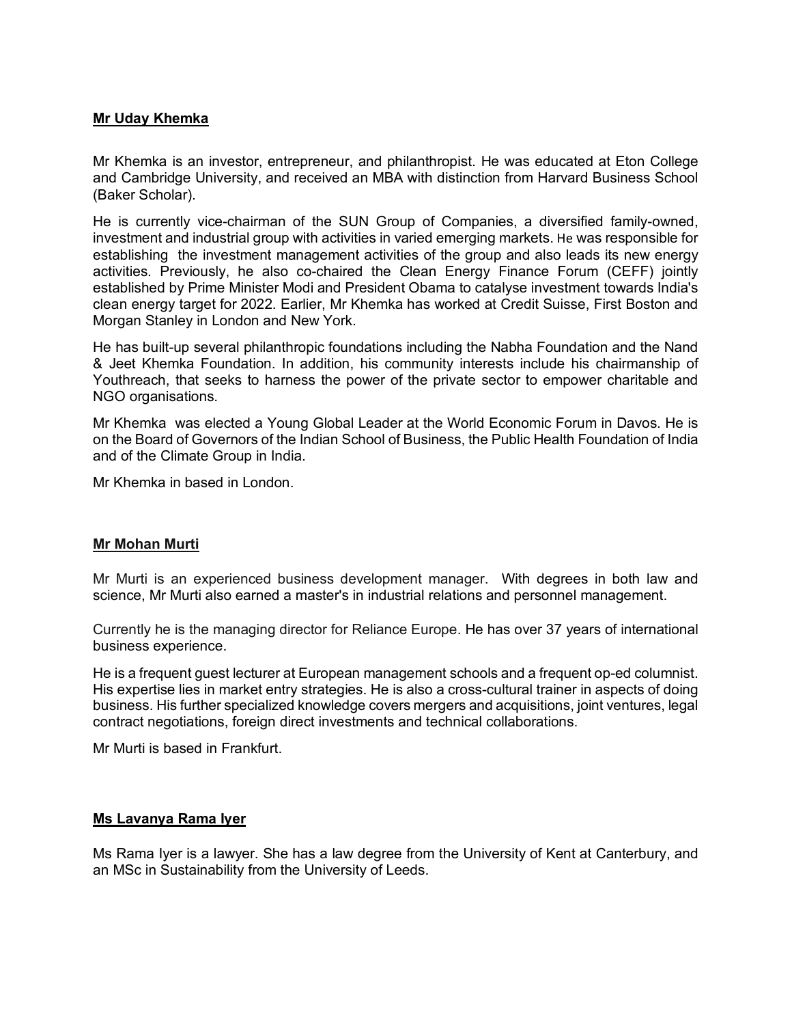#### **Mr Uday Khemka**

Mr Khemka is an investor, entrepreneur, and philanthropist. He was educated at Eton College and Cambridge University, and received an MBA with distinction from Harvard Business School (Baker Scholar).

He is currently vice-chairman of the SUN Group of Companies, a diversified family-owned, investment and industrial group with activities in varied emerging markets. He was responsible for establishing the investment management activities of the group and also leads its new energy activities. Previously, he also co-chaired the Clean Energy Finance Forum (CEFF) jointly established by Prime Minister Modi and President Obama to catalyse investment towards India's clean energy target for 2022. Earlier, Mr Khemka has worked at Credit Suisse, First Boston and Morgan Stanley in London and New York.

He has built-up several philanthropic foundations including the Nabha Foundation and the Nand & Jeet Khemka Foundation. In addition, his community interests include his chairmanship of Youthreach, that seeks to harness the power of the private sector to empower charitable and NGO organisations.

Mr Khemka was elected a Young Global Leader at the World Economic Forum in Davos. He is on the Board of Governors of the Indian School of Business, the Public Health Foundation of India and of the Climate Group in India.

Mr Khemka in based in London.

#### **Mr Mohan Murti**

Mr Murti is an experienced business development manager. With degrees in both law and science, Mr Murti also earned a master's in industrial relations and personnel management.

Currently he is the managing director for Reliance Europe. He has over 37 years of international business experience.

He is a frequent guest lecturer at European management schools and a frequent op-ed columnist. His expertise lies in market entry strategies. He is also a cross-cultural trainer in aspects of doing business. His further specialized knowledge covers mergers and acquisitions, joint ventures, legal contract negotiations, foreign direct investments and technical collaborations.

Mr Murti is based in Frankfurt.

#### **Ms Lavanya Rama Iyer**

Ms Rama Iyer is a lawyer. She has a law degree from the University of Kent at Canterbury, and an MSc in Sustainability from the University of Leeds.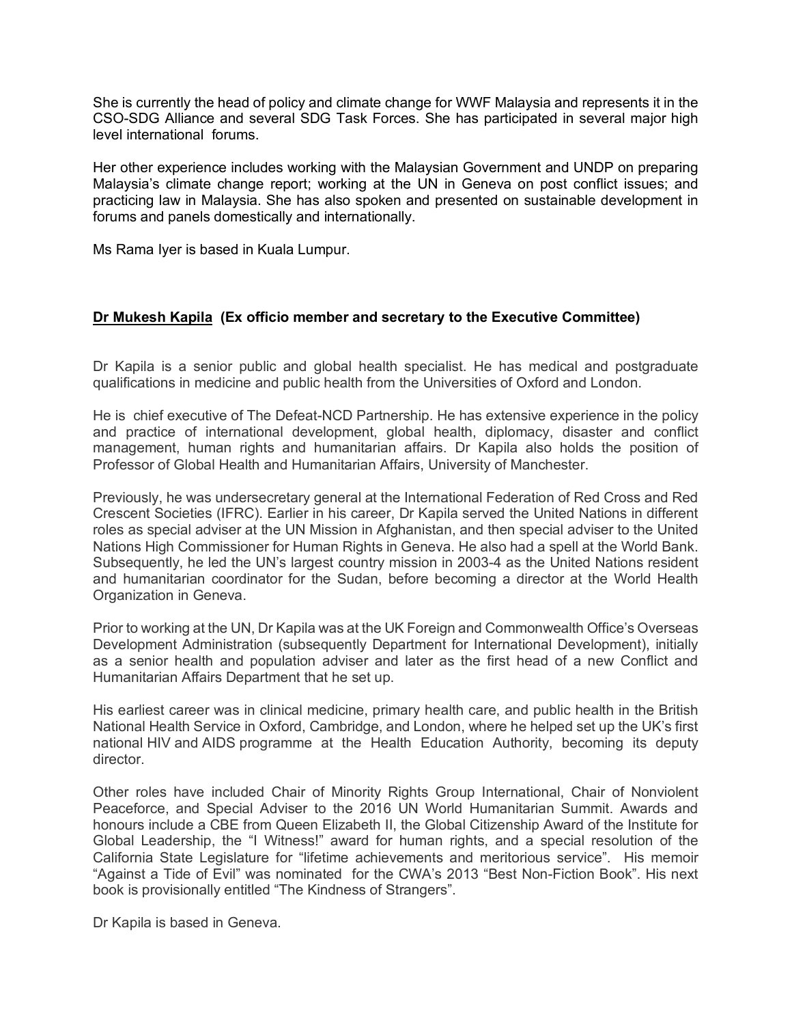She is currently the head of policy and climate change for WWF Malaysia and represents it in the CSO-SDG Alliance and several SDG Task Forces. She has participated in several major high level international forums.

Her other experience includes working with the Malaysian Government and UNDP on preparing Malaysia's climate change report; working at the UN in Geneva on post conflict issues; and practicing law in Malaysia. She has also spoken and presented on sustainable development in forums and panels domestically and internationally.

Ms Rama Iyer is based in Kuala Lumpur.

#### **Dr Mukesh Kapila (Ex officio member and secretary to the Executive Committee)**

Dr Kapila is a senior public and global health specialist. He has medical and postgraduate qualifications in medicine and public health from the Universities of Oxford and London.

He is chief executive of The Defeat-NCD Partnership. He has extensive experience in the policy and practice of international development, global health, diplomacy, disaster and conflict management, human rights and humanitarian affairs. Dr Kapila also holds the position of Professor of Global Health and Humanitarian Affairs, University of Manchester.

Previously, he was undersecretary general at the International Federation of Red Cross and Red Crescent Societies (IFRC). Earlier in his career, Dr Kapila served the United Nations in different roles as special adviser at the UN Mission in Afghanistan, and then special adviser to the United Nations High Commissioner for Human Rights in Geneva. He also had a spell at the World Bank. Subsequently, he led the UN's largest country mission in 2003-4 as the United Nations resident and humanitarian coordinator for the Sudan, before becoming a director at the World Health Organization in Geneva.

Prior to working at the UN, Dr Kapila was at the UK Foreign and Commonwealth Office's Overseas Development Administration (subsequently Department for International Development), initially as a senior health and population adviser and later as the first head of a new Conflict and Humanitarian Affairs Department that he set up.

His earliest career was in clinical medicine, primary health care, and public health in the British National Health Service in Oxford, Cambridge, and London, where he helped set up the UK's first national HIV and AIDS programme at the Health Education Authority, becoming its deputy director.

Other roles have included Chair of Minority Rights Group International, Chair of Nonviolent Peaceforce, and Special Adviser to the 2016 UN World Humanitarian Summit. Awards and honours include a CBE from Queen Elizabeth II, the Global Citizenship Award of the Institute for Global Leadership, the "I Witness!" award for human rights, and a special resolution of the California State Legislature for "lifetime achievements and meritorious service". His memoir "Against a Tide of Evil" was nominated for the CWA's 2013 "Best Non-Fiction Book". His next book is provisionally entitled "The Kindness of Strangers".

Dr Kapila is based in Geneva.